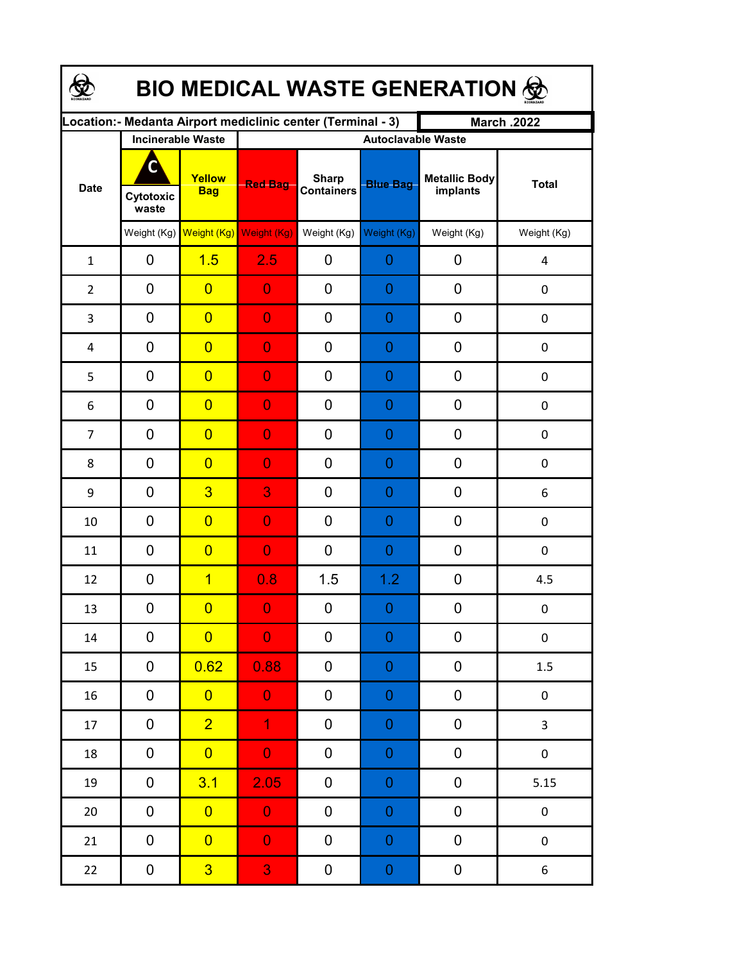| <b>BIO MEDICAL WASTE GENERATION 佥</b> |                         |                                                  |                                                             |                                   |                                              |                                  |                  |  |  |  |
|---------------------------------------|-------------------------|--------------------------------------------------|-------------------------------------------------------------|-----------------------------------|----------------------------------------------|----------------------------------|------------------|--|--|--|
|                                       |                         |                                                  | Location:- Medanta Airport mediclinic center (Terminal - 3) |                                   |                                              | <b>March .2022</b>               |                  |  |  |  |
| <b>Date</b>                           | C<br>Cytotoxic<br>waste | <b>Incinerable Waste</b><br>Yellow<br><b>Bag</b> | <b>Red Bag</b>                                              | <b>Sharp</b><br><b>Containers</b> | <b>Autoclavable Waste</b><br><b>Blue Bag</b> | <b>Metallic Body</b><br>implants | <b>Total</b>     |  |  |  |
|                                       |                         | Weight (Kg) Weight (Kg)                          | Weight (Kg)                                                 | Weight (Kg)                       | Weight (Kg)                                  | Weight (Kg)                      | Weight (Kg)      |  |  |  |
| $\mathbf{1}$                          | 0                       | 1.5                                              | 2.5                                                         | 0                                 | 0                                            | 0                                | 4                |  |  |  |
| $\overline{2}$                        | 0                       | $\overline{0}$                                   | $\overline{0}$                                              | 0                                 | 0                                            | $\mathbf 0$                      | $\boldsymbol{0}$ |  |  |  |
| 3                                     | 0                       | $\overline{0}$                                   | $\overline{0}$                                              | 0                                 | 0                                            | $\mathbf 0$                      | $\boldsymbol{0}$ |  |  |  |
| 4                                     | 0                       | $\overline{0}$                                   | $\overline{0}$                                              | 0                                 | 0                                            | $\mathbf 0$                      | $\boldsymbol{0}$ |  |  |  |
| 5                                     | 0                       | $\overline{0}$                                   | $\overline{0}$                                              | 0                                 | 0                                            | $\mathbf 0$                      | $\boldsymbol{0}$ |  |  |  |
| 6                                     | 0                       | $\overline{0}$                                   | $\overline{0}$                                              | 0                                 | 0                                            | $\mathbf 0$                      | $\mathbf 0$      |  |  |  |
| $\overline{7}$                        | 0                       | $\overline{0}$                                   | $\overline{0}$                                              | 0                                 | 0                                            | 0                                | $\mathbf 0$      |  |  |  |
| 8                                     | 0                       | $\overline{0}$                                   | $\overline{0}$                                              | 0                                 | 0                                            | 0                                | $\mathbf 0$      |  |  |  |
| 9                                     | 0                       | $\overline{3}$                                   | 3                                                           | 0                                 | 0                                            | 0                                | 6                |  |  |  |
| 10                                    | 0                       | $\overline{0}$                                   | $\overline{0}$                                              | 0                                 | 0                                            | 0                                | 0                |  |  |  |
| 11                                    | 0                       | $\overline{0}$                                   | $\overline{0}$                                              | 0                                 | 0                                            | 0                                | $\pmb{0}$        |  |  |  |
| 12                                    | 0                       | $\overline{1}$                                   | 0.8                                                         | 1.5                               | 1.2                                          | $\mathbf 0$                      | 4.5              |  |  |  |
| 13                                    | 0                       | $\overline{0}$                                   | $\Omega$                                                    | $\boldsymbol{0}$                  | $\Omega$                                     | 0                                | $\boldsymbol{0}$ |  |  |  |
| 14                                    | 0                       | $\overline{0}$                                   | $\overline{0}$                                              | 0                                 | 0                                            | 0                                | $\pmb{0}$        |  |  |  |
| 15                                    | 0                       | 0.62                                             | 0.88                                                        | 0                                 | $\boldsymbol{0}$                             | 0                                | $1.5\,$          |  |  |  |
| 16                                    | 0                       | $\overline{0}$                                   | $\overline{0}$                                              | 0                                 | $\boldsymbol{0}$                             | $\pmb{0}$                        | $\pmb{0}$        |  |  |  |
| 17                                    | 0                       | $\overline{2}$                                   | $\overline{1}$                                              | 0                                 | $\boldsymbol{0}$                             | $\pmb{0}$                        | $\mathbf{3}$     |  |  |  |
| 18                                    | 0                       | $\overline{0}$                                   | $\overline{0}$                                              | 0                                 | $\boldsymbol{0}$                             | $\pmb{0}$                        | $\pmb{0}$        |  |  |  |
| 19                                    | 0                       | 3.1                                              | 2.05                                                        | 0                                 | $\mathbf 0$                                  | $\pmb{0}$                        | 5.15             |  |  |  |
| $20\,$                                | 0                       | $\overline{0}$                                   | $\overline{0}$                                              | 0                                 | $\mathbf 0$                                  | $\pmb{0}$                        | $\pmb{0}$        |  |  |  |
| 21                                    | 0                       | $\overline{0}$                                   | $\overline{0}$                                              | 0                                 | $\mathbf 0$                                  | $\pmb{0}$                        | $\pmb{0}$        |  |  |  |
| 22                                    | 0                       | 3 <sup>2</sup>                                   | 3 <sub>l</sub>                                              | 0                                 | $\boldsymbol{0}$                             | $\boldsymbol{0}$                 | $\boldsymbol{6}$ |  |  |  |